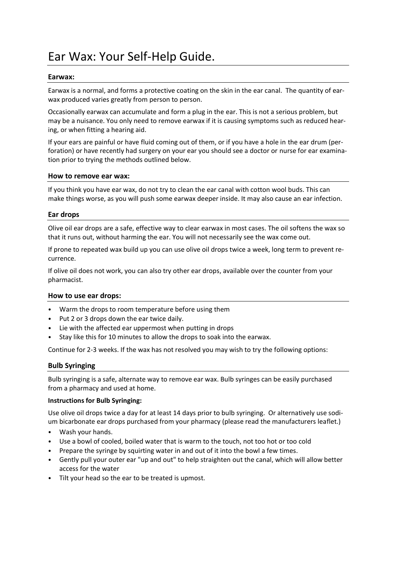# Ear Wax: Your Self-Help Guide.

### **Earwax:**

Earwax is a normal, and forms a protective coating on the skin in the ear canal. The quantity of earwax produced varies greatly from person to person.

Occasionally earwax can accumulate and form a plug in the ear. This is not a serious problem, but may be a nuisance. You only need to remove earwax if it is causing symptoms such as reduced hearing, or when fitting a hearing aid.

If your ears are painful or have fluid coming out of them, or if you have a hole in the ear drum (perforation) or have recently had surgery on your ear you should see a doctor or nurse for ear examination prior to trying the methods outlined below.

#### **How to remove ear wax:**

If you think you have ear wax, do not try to clean the ear canal with cotton wool buds. This can make things worse, as you will push some earwax deeper inside. It may also cause an ear infection.

#### **Ear drops**

Olive oil ear drops are a safe, effective way to clear earwax in most cases. The oil softens the wax so that it runs out, without harming the ear. You will not necessarily see the wax come out.

If prone to repeated wax build up you can use olive oil drops twice a week, long term to prevent recurrence.

If olive oil does not work, you can also try other ear drops, available over the counter from your pharmacist.

## **How to use ear drops:**

- Warm the drops to room temperature before using them
- Put 2 or 3 drops down the ear twice daily.
- Lie with the affected ear uppermost when putting in drops
- Stay like this for 10 minutes to allow the drops to soak into the earwax.

Continue for 2-3 weeks. If the wax has not resolved you may wish to try the following options:

## **Bulb Syringing**

Bulb syringing is a safe, alternate way to remove ear wax. Bulb syringes can be easily purchased from a pharmacy and used at home.

#### **Instructions for Bulb Syringing:**

Use olive oil drops twice a day for at least 14 days prior to bulb syringing. Or alternatively use sodium bicarbonate ear drops purchased from your pharmacy (please read the manufacturers leaflet.)

- Wash your hands.
- Use a bowl of cooled, boiled water that is warm to the touch, not too hot or too cold
- Prepare the syringe by squirting water in and out of it into the bowl a few times.
- Gently pull your outer ear "up and out" to help straighten out the canal, which will allow better access for the water
- Tilt your head so the ear to be treated is upmost.